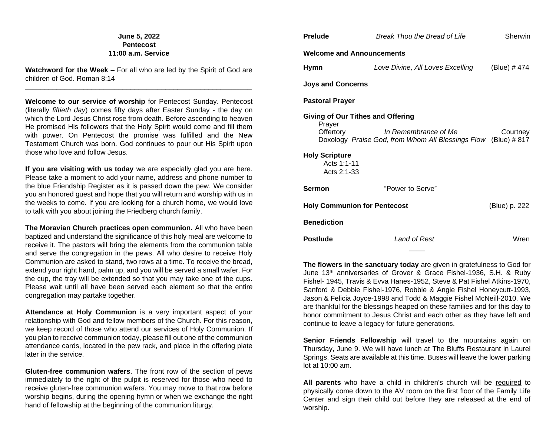# **June 5, 2022 Pentecost 11:00 a.m. Service**

**Watchword for the Week –** For all who are led by the Spirit of God are children of God. Roman 8:14 \_\_\_\_\_\_\_\_\_\_\_\_\_\_\_\_\_\_\_\_\_\_\_\_\_\_\_\_\_\_\_\_\_\_\_\_\_\_\_\_\_\_\_\_\_\_\_\_\_\_\_\_\_\_\_\_\_\_

**Welcome to our service of worship** for Pentecost Sunday. Pentecost (literally *fiftieth day*) comes fifty days after Easter Sunday - the day on which the Lord Jesus Christ rose from death. Before ascending to heaven He promised His followers that the Holy Spirit would come and fill them with power. On Pentecost the promise was fulfilled and the New Testament Church was born. God continues to pour out His Spirit upon those who love and follow Jesus.

**If you are visiting with us today** we are especially glad you are here. Please take a moment to add your name, address and phone number to the blue Friendship Register as it is passed down the pew. We consider you an honored guest and hope that you will return and worship with us in the weeks to come. If you are looking for a church home, we would love to talk with you about joining the Friedberg church family.

**The Moravian Church practices open communion.** All who have been baptized and understand the significance of this holy meal are welcome to receive it. The pastors will bring the elements from the communion table and serve the congregation in the pews. All who desire to receive Holy Communion are asked to stand, two rows at a time. To receive the bread, extend your right hand, palm up, and you will be served a small wafer. For the cup, the tray will be extended so that you may take one of the cups. Please wait until all have been served each element so that the entire congregation may partake together.

**Attendance at Holy Communion** is a very important aspect of your relationship with God and fellow members of the Church. For this reason, we keep record of those who attend our services of Holy Communion. If you plan to receive communion today, please fill out one of the communion attendance cards, located in the pew rack, and place in the offering plate later in the service.

**Gluten-free communion wafers**. The front row of the section of pews immediately to the right of the pulpit is reserved for those who need to receive gluten-free communion wafers. You may move to that row before worship begins, during the opening hymn or when we exchange the right hand of fellowship at the beginning of the communion liturgy.

| <b>Prelude</b>                                                                                                                                                                           | Break Thou the Bread of Life     |               |  |  |  |  |
|------------------------------------------------------------------------------------------------------------------------------------------------------------------------------------------|----------------------------------|---------------|--|--|--|--|
| <b>Welcome and Announcements</b>                                                                                                                                                         |                                  |               |  |  |  |  |
| <b>Hymn</b>                                                                                                                                                                              | Love Divine, All Loves Excelling | (Blue) #474   |  |  |  |  |
| <b>Joys and Concerns</b>                                                                                                                                                                 |                                  |               |  |  |  |  |
| <b>Pastoral Prayer</b>                                                                                                                                                                   |                                  |               |  |  |  |  |
| <b>Giving of Our Tithes and Offering</b><br>Prayer<br>Offertory<br>Doxology Praise God, from Whom All Blessings Flow (Blue) # 817<br><b>Holy Scripture</b><br>Acts 1:1-11<br>Acts 2:1-33 | Courtney                         |               |  |  |  |  |
| <b>Sermon</b>                                                                                                                                                                            | "Power to Serve"                 |               |  |  |  |  |
| <b>Holy Communion for Pentecost</b>                                                                                                                                                      |                                  | (Blue) p. 222 |  |  |  |  |
| <b>Benediction</b>                                                                                                                                                                       |                                  |               |  |  |  |  |
| <b>Postlude</b>                                                                                                                                                                          | Land of Rest                     | Wren          |  |  |  |  |
|                                                                                                                                                                                          |                                  |               |  |  |  |  |

**The flowers in the sanctuary today** are given in gratefulness to God for June 13th anniversaries of Grover & Grace Fishel-1936, S.H. & Ruby Fishel- 1945, Travis & Evva Hanes-1952, Steve & Pat Fishel Atkins-1970, Sanford & Debbie Fishel-1976, Robbie & Angie Fishel Honeycutt-1993, Jason & Felicia Joyce-1998 and Todd & Maggie Fishel McNeill-2010. We are thankful for the blessings heaped on these families and for this day to honor commitment to Jesus Christ and each other as they have left and continue to leave a legacy for future generations.

Senior Friends Fellowship will travel to the mountains again on Thursday, June 9. We will have lunch at The Bluffs Restaurant in Laurel Springs. Seats are available at this time. Buses will leave the lower parking lot at 10:00 am.

**All parents** who have a child in children's church will be required to physically come down to the AV room on the first floor of the Family Life Center and sign their child out before they are released at the end of worship.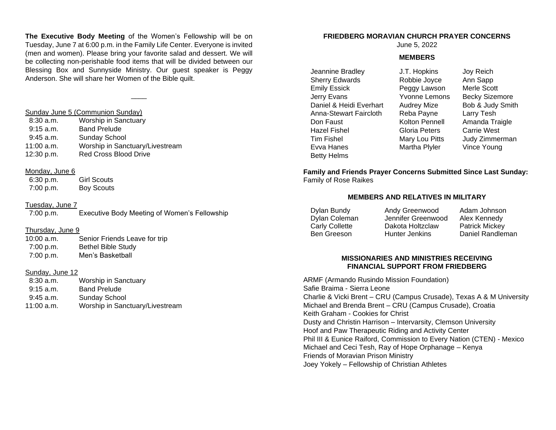**The Executive Body Meeting** of the Women's Fellowship will be on Tuesday, June 7 at 6:00 p.m. in the Family Life Center. Everyone is invited (men and women). Please bring your favorite salad and dessert. We will be collecting non-perishable food items that will be divided between our Blessing Box and Sunnyside Ministry. Our guest speaker is Peggy Anderson. She will share her Women of the Bible quilt.

 $\overline{\phantom{a}}$ 

#### Sunday June 5 (Communion Sunday)

| $8:30$ a.m. | <b>Worship in Sanctuary</b>     |
|-------------|---------------------------------|
| $9:15$ a.m. | <b>Band Prelude</b>             |
| $9:45$ a.m. | Sunday School                   |
| 11:00 a.m.  | Worship in Sanctuary/Livestream |
| 12:30 p.m.  | Red Cross Blood Drive           |

#### Monday, June 6

 6:30 p.m. Girl Scouts 7:00 p.m. Boy Scouts

#### Tuesday, June 7

7:00 p.m. Executive Body Meeting of Women's Fellowship

### Thursday, June 9

| $10:00$ a.m. | Senior Friends Leave for trip |
|--------------|-------------------------------|
| 7:00 p.m.    | <b>Bethel Bible Study</b>     |
| 7:00 p.m.    | Men's Basketball              |

### Sunday, June 12

| $8:30$ a.m. | <b>Worship in Sanctuary</b>     |
|-------------|---------------------------------|
| $9:15$ a.m. | <b>Band Prelude</b>             |
| $9:45$ a.m. | Sunday School                   |
| 11:00 a.m.  | Worship in Sanctuary/Livestream |
|             |                                 |

# **FRIEDBERG MORAVIAN CHURCH PRAYER CONCERNS**

June 5, 2022

#### **MEMBERS**

Jeannine Bradley Sherry Edwards Emily Essick Jerry Evans Daniel & Heidi Everhart Anna-Stewart Faircloth Don Faust Hazel Fishel Tim Fishel Evva Hanes Betty Helms

J.T. Hopkins Robbie Joyce Peggy Lawson Yvonne Lemons Audrey Mize Reba Payne Kolton Pennell Gloria Peters Mary Lou Pitts Martha Plyler

Joy Reich Ann Sapp Merle Scott Becky Sizemore Bob & Judy Smith Larry Tesh Amanda Traigle Carrie West Judy Zimmerman Vince Young

**Family and Friends Prayer Concerns Submitted Since Last Sunday:** Family of Rose Raikes

# **MEMBERS AND RELATIVES IN MILITARY**

Dylan Bundy Dylan Coleman Carly Collette Ben Greeson Andy Greenwood Jennifer Greenwood Dakota Holtzclaw Hunter Jenkins

Adam Johnson Alex Kennedy Patrick Mickey Daniel Randleman

# **MISSIONARIES AND MINISTRIES RECEIVING FINANCIAL SUPPORT FROM FRIEDBERG**

ARMF (Armando Rusindo Mission Foundation) Safie Braima - Sierra Leone Charlie & Vicki Brent – CRU (Campus Crusade), Texas A & M University Michael and Brenda Brent – CRU (Campus Crusade), Croatia Keith Graham - Cookies for Christ Dusty and Christin Harrison – Intervarsity, Clemson University Hoof and Paw Therapeutic Riding and Activity Center Phil III & Eunice Raiford, Commission to Every Nation (CTEN) - Mexico Michael and Ceci Tesh, Ray of Hope Orphanage – Kenya Friends of Moravian Prison Ministry Joey Yokely – Fellowship of Christian Athletes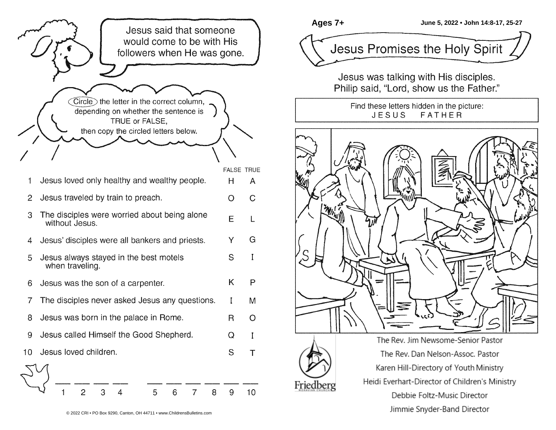

Friedberg

**Ages 7+ June 5, 2022 • John 14:8-17, 25-27** Jesus Promises the Holy Spirit

Jesus was talking with His disciples. Philip said, "Lord, show us the Father."

> Find these letters hidden in the picture: JESUS **FATHER**



Karen Hill-Directory of Youth Ministry Heidi Everhart-Director of Children's Ministry Debbie Foltz-Music Director Jimmie Snyder-Band Director